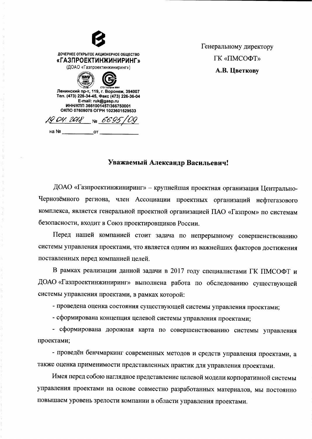| ДОЧЕРНЕЕ ОТКРЫТОЕ АКЦИОНЕРНОЕ ОБЩЕСТВО                                                                                                                                                               |  |
|------------------------------------------------------------------------------------------------------------------------------------------------------------------------------------------------------|--|
| «ГАЗПРОЕКТИНЖИНИРИНГ»                                                                                                                                                                                |  |
| (ДОАО «Газпроектинжиниринг»)                                                                                                                                                                         |  |
| CTO Газпром 9001<br>Ленинский пр-т, 119, г. Воронеж, 394007<br>Тел. (473) 226-34-45, Факс (473) 226-36-04<br>E-mail: ruk@gasp.ru<br>ИНН/КПП 3661001457/366750001<br>ОКПО 07609075 ОГРН 1023601529533 |  |
| <u>04. 2018 No 6695</u> 1                                                                                                                                                                            |  |
| на №<br>ΟТ                                                                                                                                                                                           |  |

Генеральному директору ГК «ПМСОФТ» А.В. Цветкову

## Уважаемый Александр Васильевич!

ДОАО «Газпроектинжиниринг» - крупнейшая проектная организация Центрально-Чернозёмного региона, член Ассоциации проектных организаций нефтегазового комплекса, является генеральной проектной организацией ПАО «Газпром» по системам безопасности, входит в Союз проектировщиков России.

Перед нашей компанией стоит задача по непрерывному совершенствованию системы управления проектами, что является одним из важнейших факторов достижения поставленных перед компанией целей.

В рамках реализации данной задачи в 2017 году специалистами ГК ПМСОФТ и ДОАО «Газпроектинжиниринг» выполнена работа по обследованию существующей системы управления проектами, в рамках которой:

- проведена оценка состояния существующей системы управления проектами;

- сформирована концепция целевой системы управления проектами;

- сформирована дорожная карта по совершенствованию системы управления проектами;

- проведён бенчмаркинг современных методов и средств управления проектами, а также оценка применимости представленных практик для управления проектами.

Имея перед собою наглядное представление целевой модели корпоративной системы управления проектами на основе совместно разработанных материалов, мы постоянно повышаем уровень зрелости компании в области управления проектами.